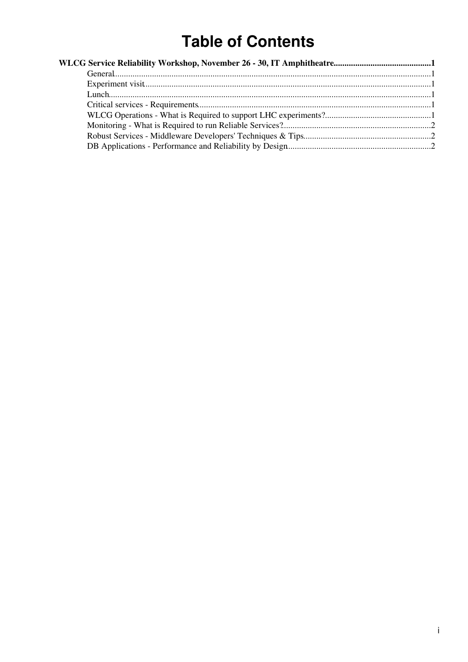# **Table of Contents**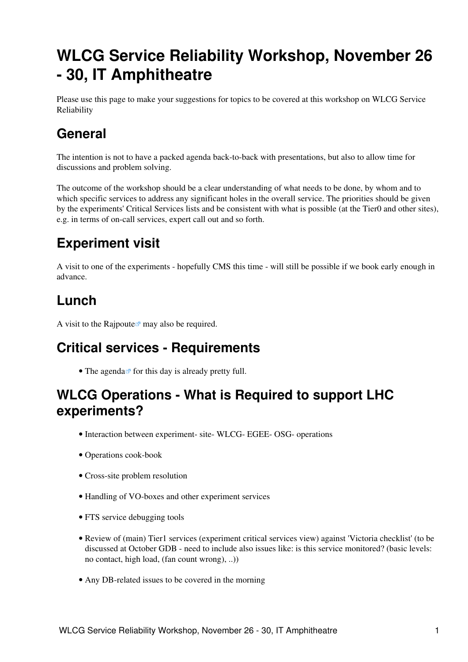# <span id="page-1-0"></span>**WLCG Service Reliability Workshop, November 26 - 30, IT Amphitheatre**

Please use this page to make your suggestions for topics to be covered at this workshop on WLCG Service Reliability

### <span id="page-1-1"></span>**General**

The intention is not to have a packed agenda back-to-back with presentations, but also to allow time for discussions and problem solving.

The outcome of the workshop should be a clear understanding of what needs to be done, by whom and to which specific services to address any significant holes in the overall service. The priorities should be given by the experiments' Critical Services lists and be consistent with what is possible (at the Tier0 and other sites), e.g. in terms of on-call services, expert call out and so forth.

### <span id="page-1-2"></span>**Experiment visit**

A visit to one of the experiments - hopefully CMS this time - will still be possible if we book early enough in advance.

## <span id="page-1-3"></span>**Lunch**

A visit to the [Rajpoute](http://www.rajpoute.fr/en/rest.htm)  $\mathbb{F}$  may also be required.

### <span id="page-1-4"></span>**Critical services - Requirements**

• The [agenda](http://indico.cern.ch/sessionDisplay.py?sessionId=0&slotId=0&confId=20080#2007-11-26) $\sigma$  for this day is already pretty full.

#### <span id="page-1-5"></span>**WLCG Operations - What is Required to support LHC experiments?**

- Interaction between experiment- site- WLCG- EGEE- OSG- operations
- Operations cook-book
- Cross-site problem resolution
- Handling of VO-boxes and other experiment services
- FTS service debugging tools
- Review of (main) Tier1 services (experiment critical services view) against 'Victoria checklist' (to be discussed at October GDB - need to include also issues like: is this service monitored? (basic levels: no contact, high load, (fan count wrong), ..))
- Any DB-related issues to be covered in the morning